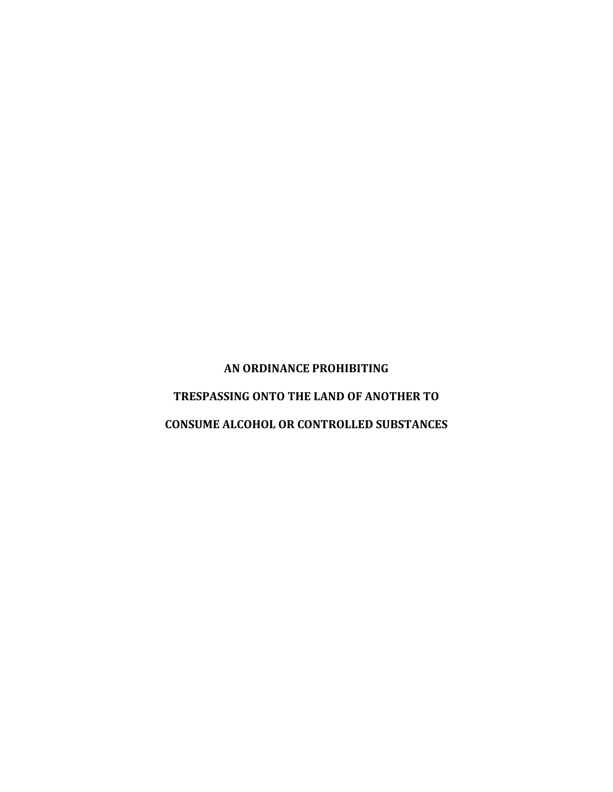**AN ORDINANCE PROHIBITING**

**TRESPASSING ONTO THE LAND OF ANOTHER TO**

**CONSUME ALCOHOL OR CONTROLLED SUBSTANCES**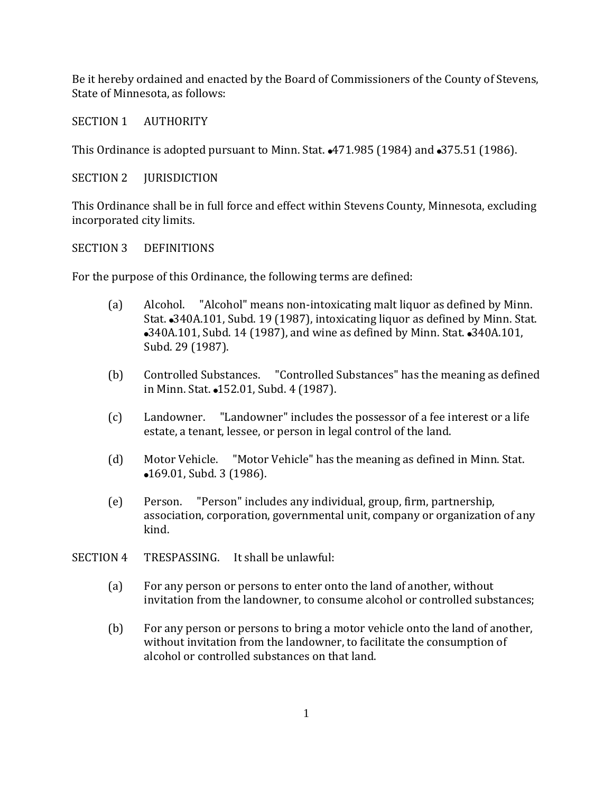Be it hereby ordained and enacted by the Board of Commissioners of the County of Stevens, State of Minnesota, as follows:

# SECTION 1 AUTHORITY

This Ordinance is adopted pursuant to Minn. Stat.  $\triangle 471.985$  (1984) and  $\triangle 375.51$  (1986).

## SECTION 2 **JURISDICTION**

This Ordinance shall be in full force and effect within Stevens County, Minnesota, excluding incorporated city limits.

## SECTION 3 DEFINITIONS

For the purpose of this Ordinance, the following terms are defined:

- (a) Alcohol. "Alcohol" means non-intoxicating malt liquor as defined by Minn. Stat. • 340A.101, Subd. 19 (1987), intoxicating liquor as defined by Minn. Stat. •340A.101, Subd. 14 (1987), and wine as defined by Minn. Stat. •340A.101, Subd. 29 (1987).
- (b) Controlled Substances. "Controlled Substances" has the meaning as defined in Minn. Stat. •152.01, Subd. 4 (1987).
- (c) Landowner. "Landowner" includes the possessor of a fee interest or a life estate, a tenant, lessee, or person in legal control of the land.
- (d) Motor Vehicle. "Motor Vehicle" has the meaning as defined in Minn. Stat. •169.01, Subd. 3 (1986).
- (e) Person. "Person" includes any individual, group, firm, partnership, association, corporation, governmental unit, company or organization of any kind.
- SECTION 4 TRESPASSING. It shall be unlawful:
	- (a) For any person or persons to enter onto the land of another, without invitation from the landowner, to consume alcohol or controlled substances;
	- (b) For any person or persons to bring a motor vehicle onto the land of another, without invitation from the landowner, to facilitate the consumption of alcohol or controlled substances on that land.